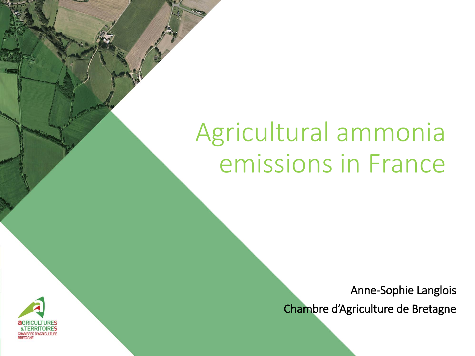# Agricultural ammonia emissions in France

Anne-Sophie Langlois

Chambre d'Agriculture de Bretagne

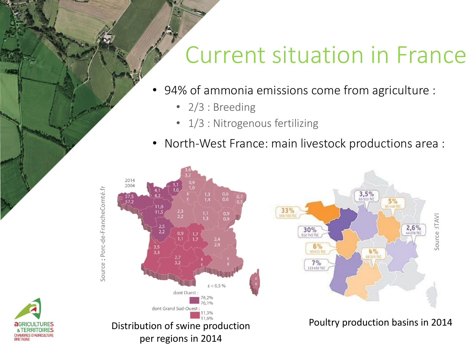### Current situation in France

- 94% of ammonia emissions come from agriculture :
	- 2/3 : Breeding
	- 1/3 : Nitrogenous fertilizing
- North-West France: main livestock productions area :



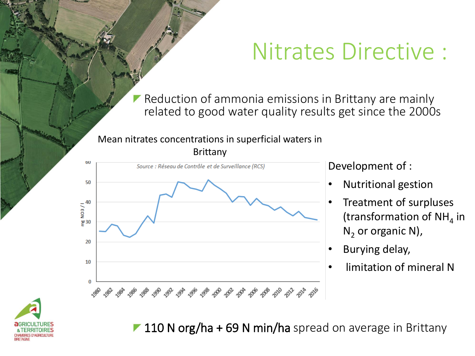### Nitrates Directive :

Reduction of ammonia emissions in Brittany are mainly related to good water quality results get since the 2000s

#### Mean nitrates concentrations in superficial waters in Brittany



Development of :

- Nutritional gestion
- Treatment of surpluses (transformation of NH<sub>4</sub> in  $N<sub>2</sub>$  or organic N),
- Burying delay,
- limitation of mineral N



**110 N org/ha + 69 N min/ha** spread on average in Brittany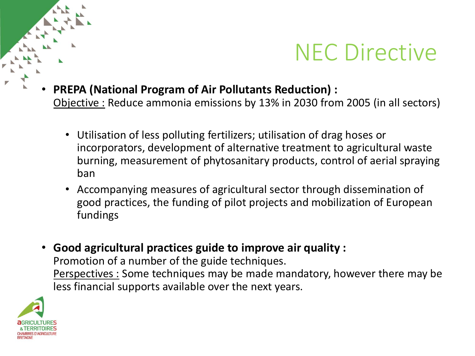

## NEC Directive

- **PREPA (National Program of Air Pollutants Reduction) :**  Objective : Reduce ammonia emissions by 13% in 2030 from 2005 (in all sectors)
	- Utilisation of less polluting fertilizers; utilisation of drag hoses or incorporators, development of alternative treatment to agricultural waste burning, measurement of phytosanitary products, control of aerial spraying ban
	- Accompanying measures of agricultural sector through dissemination of good practices, the funding of pilot projects and mobilization of European fundings
- **Good agricultural practices guide to improve air quality :**  Promotion of a number of the guide techniques. Perspectives : Some techniques may be made mandatory, however there may be less financial supports available over the next years.

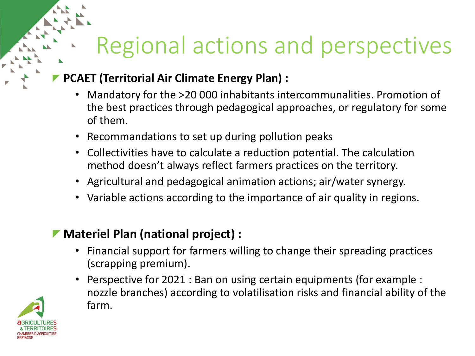## Regional actions and perspectives

#### **PCAET (Territorial Air Climate Energy Plan) :**

- Mandatory for the >20 000 inhabitants intercommunalities. Promotion of the best practices through pedagogical approaches, or regulatory for some of them.
- Recommandations to set up during pollution peaks
- Collectivities have to calculate a reduction potential. The calculation method doesn't always reflect farmers practices on the territory.
- Agricultural and pedagogical animation actions; air/water synergy.
- Variable actions according to the importance of air quality in regions.

#### **Materiel Plan (national project) :**

- Financial support for farmers willing to change their spreading practices (scrapping premium).
- Perspective for 2021 : Ban on using certain equipments (for example : nozzle branches) according to volatilisation risks and financial ability of the farm.